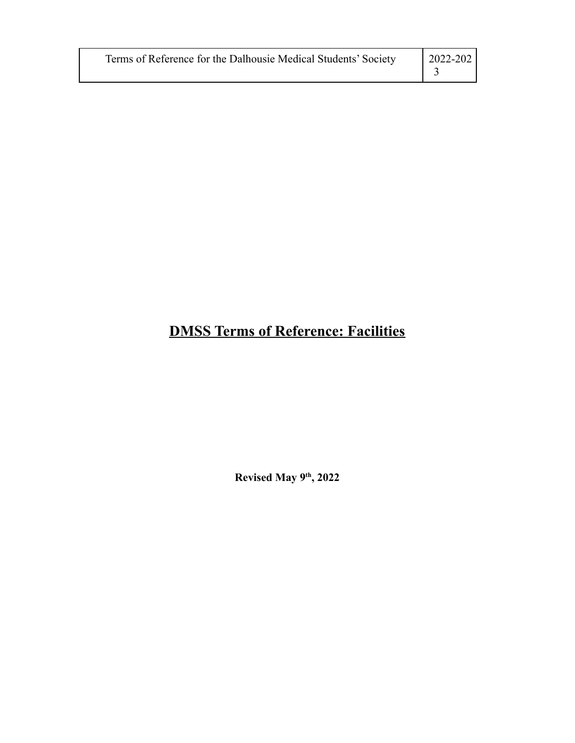| Terms of Reference for the Dalhousie Medical Students' Society | $\mid$ 2022-202 |
|----------------------------------------------------------------|-----------------|
|                                                                |                 |

# **DMSS Terms of Reference: Facilities**

**Revised May 9th , 2022**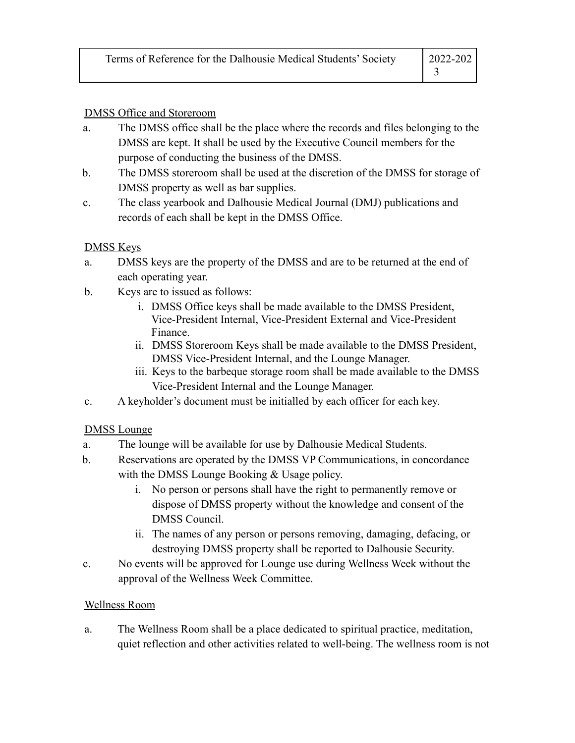#### DMSS Office and Storeroom

- a. The DMSS office shall be the place where the records and files belonging to the DMSS are kept. It shall be used by the Executive Council members for the purpose of conducting the business of the DMSS.
- b. The DMSS storeroom shall be used at the discretion of the DMSS for storage of DMSS property as well as bar supplies.
- c. The class yearbook and Dalhousie Medical Journal (DMJ) publications and records of each shall be kept in the DMSS Office.

### DMSS Keys

- a. DMSS keys are the property of the DMSS and are to be returned at the end of each operating year.
- b. Keys are to issued as follows:
	- i. DMSS Office keys shall be made available to the DMSS President, Vice-President Internal, Vice-President External and Vice-President Finance.
	- ii. DMSS Storeroom Keys shall be made available to the DMSS President, DMSS Vice-President Internal, and the Lounge Manager.
	- iii. Keys to the barbeque storage room shall be made available to the DMSS Vice-President Internal and the Lounge Manager.
- c. A keyholder's document must be initialled by each officer for each key.

### DMSS Lounge

- a. The lounge will be available for use by Dalhousie Medical Students.
- b. Reservations are operated by the DMSS VP Communications, in concordance with the DMSS Lounge Booking & Usage policy.
	- i. No person or persons shall have the right to permanently remove or dispose of DMSS property without the knowledge and consent of the DMSS Council.
	- ii. The names of any person or persons removing, damaging, defacing, or destroying DMSS property shall be reported to Dalhousie Security.
- c. No events will be approved for Lounge use during Wellness Week without the approval of the Wellness Week Committee.

### Wellness Room

a. The Wellness Room shall be a place dedicated to spiritual practice, meditation, quiet reflection and other activities related to well-being. The wellness room is not